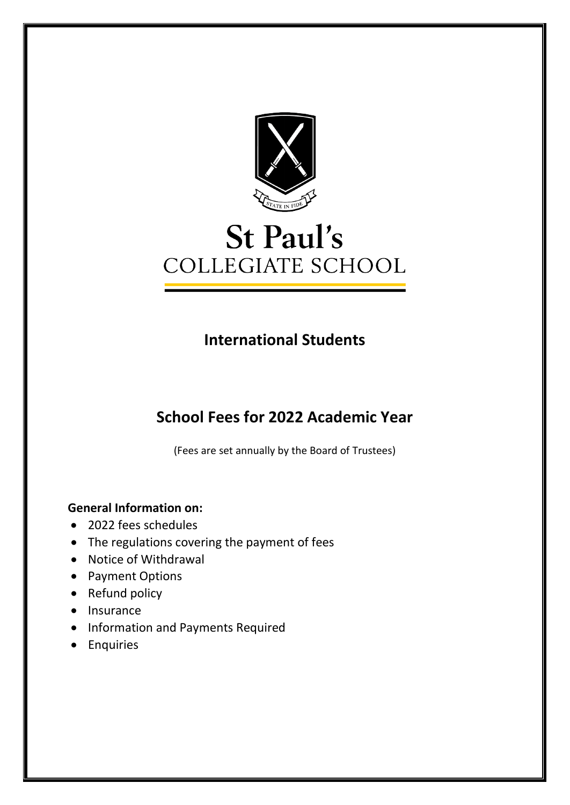

# St Paul's COLLEGIATE SCHOOL

## **International Students**

## **School Fees for 2022 Academic Year**

(Fees are set annually by the Board of Trustees)

### **General Information on:**

- 2022 fees schedules
- The regulations covering the payment of fees
- Notice of Withdrawal
- Payment Options
- Refund policy
- Insurance
- Information and Payments Required
- Enquiries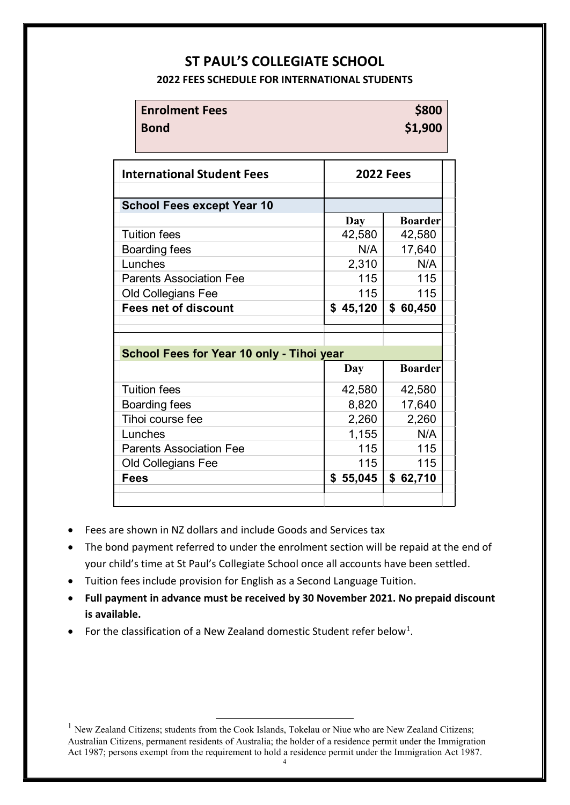### **ST PAUL'S COLLEGIATE SCHOOL**

#### **2022 FEES SCHEDULE FOR INTERNATIONAL STUDENTS**

| <b>Enrolment Fees</b> | \$800   |
|-----------------------|---------|
| <b>Bond</b>           | \$1,900 |
|                       |         |

| <b>International Student Fees</b>         | <b>2022 Fees</b> |                |  |
|-------------------------------------------|------------------|----------------|--|
|                                           |                  |                |  |
| <b>School Fees except Year 10</b>         |                  |                |  |
|                                           | Day              | <b>Boarder</b> |  |
| <b>Tuition fees</b>                       | 42,580           | 42,580         |  |
| Boarding fees                             | N/A              | 17,640         |  |
| Lunches                                   | 2,310            | N/A            |  |
| <b>Parents Association Fee</b>            | 115              | 115            |  |
| <b>Old Collegians Fee</b>                 | 115              | 115            |  |
| <b>Fees net of discount</b>               | \$45,120         | \$60,450       |  |
|                                           |                  |                |  |
|                                           |                  |                |  |
| School Fees for Year 10 only - Tihoi year |                  |                |  |
|                                           | Day              | <b>Boarder</b> |  |
| <b>Tuition fees</b>                       | 42,580           | 42,580         |  |
| Boarding fees                             | 8,820            | 17,640         |  |
| Tihoi course fee                          | 2,260            | 2,260          |  |
| Lunches                                   | 1,155            | N/A            |  |
| <b>Parents Association Fee</b>            | 115              | 115            |  |
| <b>Old Collegians Fee</b>                 | 115              | 115            |  |
| <b>Fees</b>                               | \$55,045         | \$62,710       |  |
|                                           |                  |                |  |

- Fees are shown in NZ dollars and include Goods and Services tax
- The bond payment referred to under the enrolment section will be repaid at the end of your child's time at St Paul's Collegiate School once all accounts have been settled.
- Tuition fees include provision for English as a Second Language Tuition.
- **Full payment in advance must be received by 30 November 2021. No prepaid discount is available.**
- For the classification of a New Zealand domestic Student refer below<sup>1</sup>.

4

<span id="page-1-0"></span><sup>&</sup>lt;sup>1</sup> New Zealand Citizens; students from the Cook Islands, Tokelau or Niue who are New Zealand Citizens; Australian Citizens, permanent residents of Australia; the holder of a residence permit under the Immigration Act 1987; persons exempt from the requirement to hold a residence permit under the Immigration Act 1987.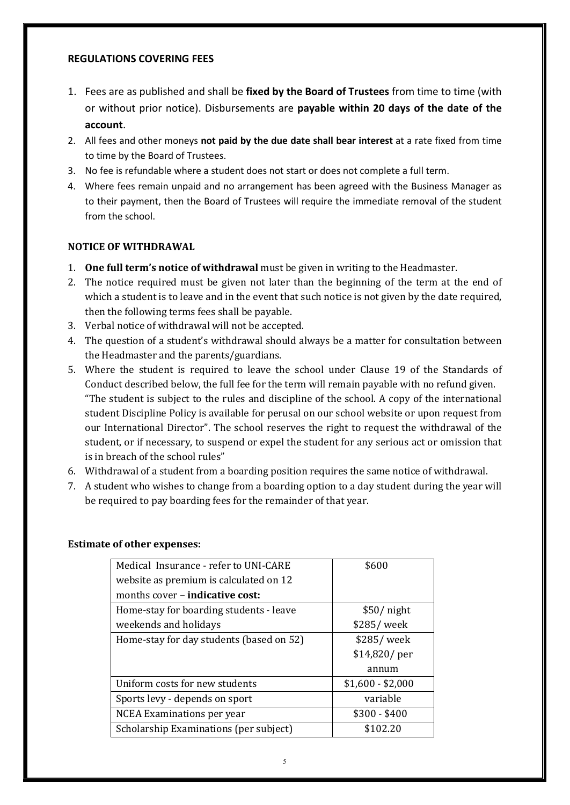#### **REGULATIONS COVERING FEES**

- 1. Fees are as published and shall be **fixed by the Board of Trustees** from time to time (with or without prior notice). Disbursements are **payable within 20 days of the date of the account**.
- 2. All fees and other moneys **not paid by the due date shall bear interest** at a rate fixed from time to time by the Board of Trustees.
- 3. No fee is refundable where a student does not start or does not complete a full term.
- 4. Where fees remain unpaid and no arrangement has been agreed with the Business Manager as to their payment, then the Board of Trustees will require the immediate removal of the student from the school.

#### **NOTICE OF WITHDRAWAL**

- 1. **One full term's notice of withdrawal** must be given in writing to the Headmaster.
- 2. The notice required must be given not later than the beginning of the term at the end of which a student is to leave and in the event that such notice is not given by the date required, then the following terms fees shall be payable.
- 3. Verbal notice of withdrawal will not be accepted.
- 4. The question of a student's withdrawal should always be a matter for consultation between the Headmaster and the parents/guardians.
- 5. Where the student is required to leave the school under Clause 19 of the Standards of Conduct described below, the full fee for the term will remain payable with no refund given. "The student is subject to the rules and discipline of the school. A copy of the international student Discipline Policy is available for perusal on our school website or upon request from our International Director". The school reserves the right to request the withdrawal of the student, or if necessary, to suspend or expel the student for any serious act or omission that is in breach of the school rules"
- 6. Withdrawal of a student from a boarding position requires the same notice of withdrawal.
- 7. A student who wishes to change from a boarding option to a day student during the year will be required to pay boarding fees for the remainder of that year.

| Medical Insurance - refer to UNI-CARE    | \$600             |
|------------------------------------------|-------------------|
|                                          |                   |
| website as premium is calculated on 12   |                   |
| months cover – <b>indicative cost:</b>   |                   |
| Home-stay for boarding students - leave  | $$50/$ night      |
| weekends and holidays                    | \$285/week        |
| Home-stay for day students (based on 52) | \$285/week        |
|                                          | $$14,820/$ per    |
|                                          | annum             |
| Uniform costs for new students           | $$1,600 - $2,000$ |
| Sports levy - depends on sport           | variable          |
| NCEA Examinations per year               | $$300 - $400$     |
| Scholarship Examinations (per subject)   | \$102.20          |

#### **Estimate of other expenses:**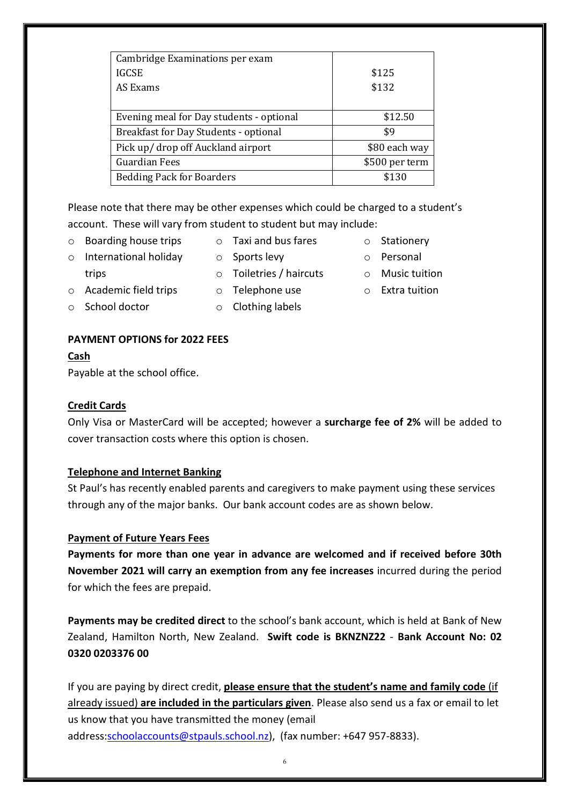| Cambridge Examinations per exam              |                |
|----------------------------------------------|----------------|
| <b>IGCSE</b>                                 | \$125          |
| AS Exams                                     | \$132          |
|                                              |                |
| Evening meal for Day students - optional     | \$12.50        |
| <b>Breakfast for Day Students - optional</b> | \$9            |
| Pick up/ drop off Auckland airport           | \$80 each way  |
| <b>Guardian Fees</b>                         | \$500 per term |
| <b>Bedding Pack for Boarders</b>             | \$130          |
|                                              |                |

Please note that there may be other expenses which could be charged to a student's account. These will vary from student to student but may include:

- o Boarding house trips
- o Taxi and bus fares o Sports levy
- o International holiday
	- o Toiletries / haircuts
- 
- 
- o Stationery
	- o Personal
- o Music tuition

o Academic field trips

**PAYMENT OPTIONS for 2022 FEES**

o Clothing labels

#### Payable at the school office.

o School doctor

#### **Credit Cards**

**Cash**

trips

Only Visa or MasterCard will be accepted; however a **surcharge fee of 2%** will be added to cover transaction costs where this option is chosen.

#### **Telephone and Internet Banking**

St Paul's has recently enabled parents and caregivers to make payment using these services through any of the major banks. Our bank account codes are as shown below.

#### **Payment of Future Years Fees**

**Payments for more than one year in advance are welcomed and if received before 30th November 2021 will carry an exemption from any fee increases** incurred during the period for which the fees are prepaid.

**Payments may be credited direct** to the school's bank account, which is held at Bank of New Zealand, Hamilton North, New Zealand. **Swift code is BKNZNZ22** - **Bank Account No: 02 0320 0203376 00**

If you are paying by direct credit, **please ensure that the student's name and family code** (if already issued) **are included in the particulars given**. Please also send us a fax or email to let us know that you have transmitted the money (email address[:schoolaccounts@stpauls.school.nz\)](mailto:schoolaccounts@stpauls.school.nz), (fax number: +647 957-8833).

# o Telephone use

o Extra tuition